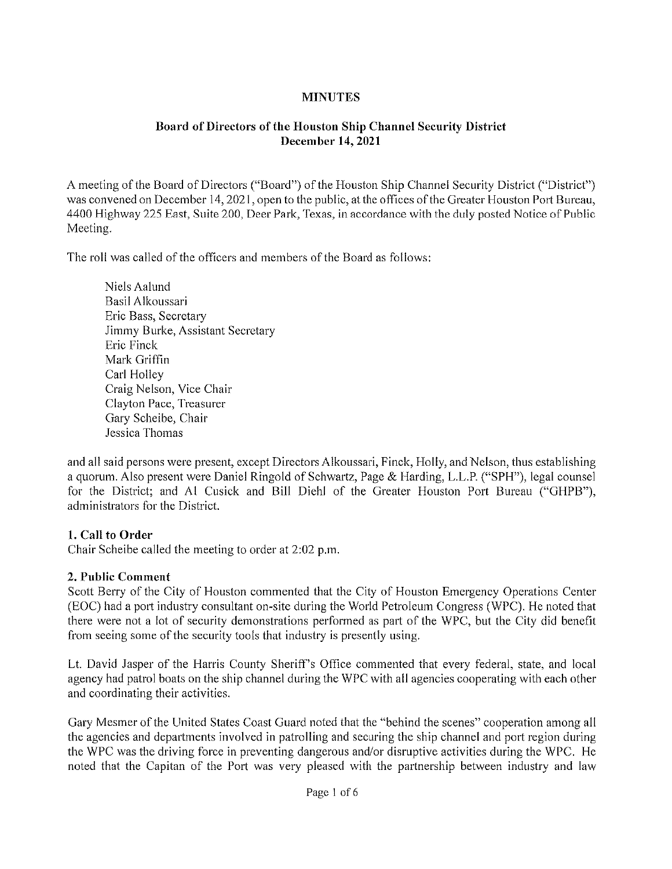## **MINUTES**

## Board of Directors of the Houston Ship Channel Security District December 14,2021

A meeting of the Board of Directors ("Board") of the Houston Ship Channel Security District ("District") was convened on December 14,2021, open to the public, at the offices of the Greater Houston Port Bureau, 4400 Highway 225 East, Suite 200, Deer Park, Texas, in accordance with the duly posted Notice of Public Meeting.

The roll was called of the officers and members of the Board as follows:

Niels Aalund Basil Alkoussari Eric Bass, Secretary Jimmy Burke, Assistant Secretary Eric Finck Mark Griffin Carl Holley Craig Nelson, Vice Chair CIayton Pace, Treasurer Gary Scheibe, Chair Jessica Thomas

and all said persons were present, except Directors Alkoussari, Finck, Holly, and Nelson, thus establishing a quorum. Also present were Daniel Ringold of Schwartz, Page & Harding, L.L.P. ("SPH"), legal counsel for the District; and Al Cusick and Bill Diehl of the Greater Houston Port Bureau ("GHPB"), administrators for the District.

# 1. Call to Order

Chair Scheibe called the meeting to order at 2:02 p.m.

#### 2. Public Comment

Scott Berry of the City of Houston commented that the City of Houston Emergency Operations Center (EOC) had a port industry consultant on-site during the World Petroleum Congress (WPC). He noted that there were not a lot of security demonstrations performed as part of the WPC, but the City did benefit from seeing some of the security tools that industry is presently using.

Lt. David Jasper of the Harris County Sheriff's Office commented that every federal, state, and local agency had patrol boats on the ship channel during the WPC with all agencies cooperating with each other and coordinating their activities.

Gary Mesmer of the United States Coast Guard noted that the "behind the scenes" cooperation among all the agencies and departments involved in patrolling and securing the ship channel and port region during the WPC was the driving force in preventing dangerous and/or disruptive activities during the WPC. He noted that the Capitan of the Port was very pleased with the partnership between industry and law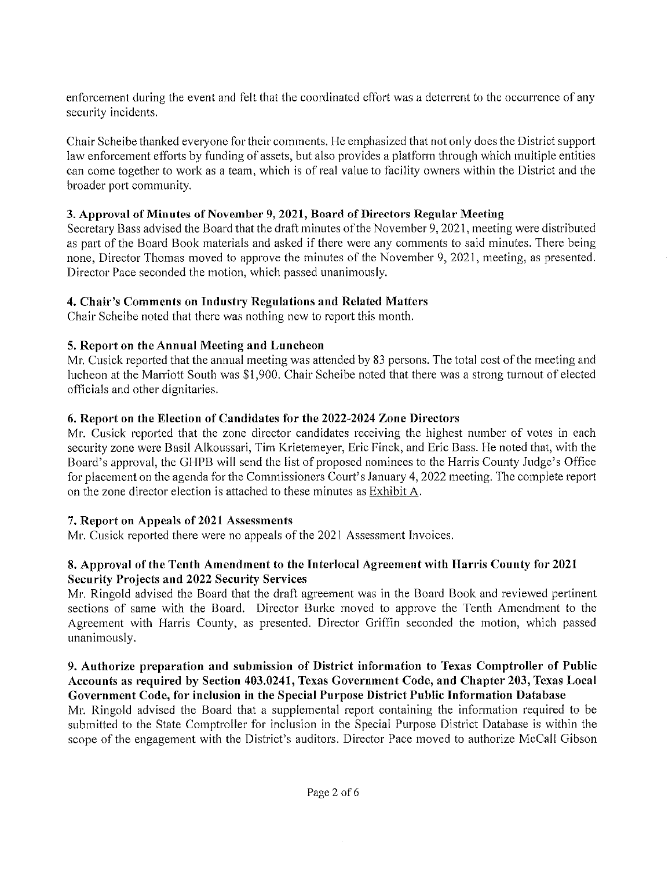enforcement during the event and felt that the coordinated effort was a deterrent to the occurrence of any security incidents.

Chair Scheibe thanked everyone for their comments. He emphasized that not only does the District support law enforcement efforts by funding of assets, but also provides a platform through which multiple entities can come together to work as a team, which is of real value to facility owners within the District and the broader port community.

#### 3. Approval of Minutes of November 9, 2021, Board of Directors Regular Meeting

Secretary Bass advised the Board that the draft minutes of the November 9,2021, meeting were distributed as part of the Board Book materials and asked if there were any comments to said minutes. There being none, Director Thomas moved to approve the minutes of the November 9, 2021, meeting, as presented. Director Pace seconded the motion, which passed unanimously.

# 4. Chair's Comments on Industry Regulations and Related Matters

Chair Scheibe noted that there was nothing new to report this month.

# 5. Report on the Annual Meeting and Luncheon

Mr. Cusick reported that the annual meeting was attended by 83 persons. The total cost of the meeting and lucheon at the Marriott South was \$1,900. Chair Scheibe noted that there was a strong turnout of elected officials and other dignitaries.

# 6. Report on the Election of Candidates for the 2022-2024 Zone Directors

Mr. Cusick reported that the zone director candidates receiving the highest number of votes in each security zone were Basil Alkoussari, Tim Krietemeyer, Eric Finck, and Eric Bass. He noted that, with the Board's approval, the GHPB will send the list of proposed nominees to the Harris County Judge's Office for placement on the agenda for the Commissioners Court's January 4,2022 meeting. The complete report on the zone director election is attached to these minutes as Exhibit A.

# 7. Report on Appeals of 2021 Assessments

Mr. Cusick reported there were no appeals of the 2021 Assessment Invoices.

# 8. Approval of the Tenth Amendment to the Interlocal Agreement with Harris County for 2021 Security Projects and 2022 Security Services

Mr. Ringold advised the Board that the draft agreement was in the Board Book and reviewed pertinent sections of same with the Board. Director Burke moved to approve the Tenth Amendment to the Agreement with Harris County, as presented. Director Griffin seconded the motion, which passed unanimously.

### 9. Authorize preparation and submission of District information to Texas Comptroller of Public Accounts as required by Section 403.0241, Texas Government Code, and Chapter 203, Texas Local Government Code, for inclusion in the Special Purpose District Public Information Database

Mr. Ringold advised the Board that a supptemental report containing the information required to be submitted to the State Comptroller for inclusion in the Special Purpose District Database is within the scope of the engagement with the District's auditors. Director Pace moved to authorize McCall Gibson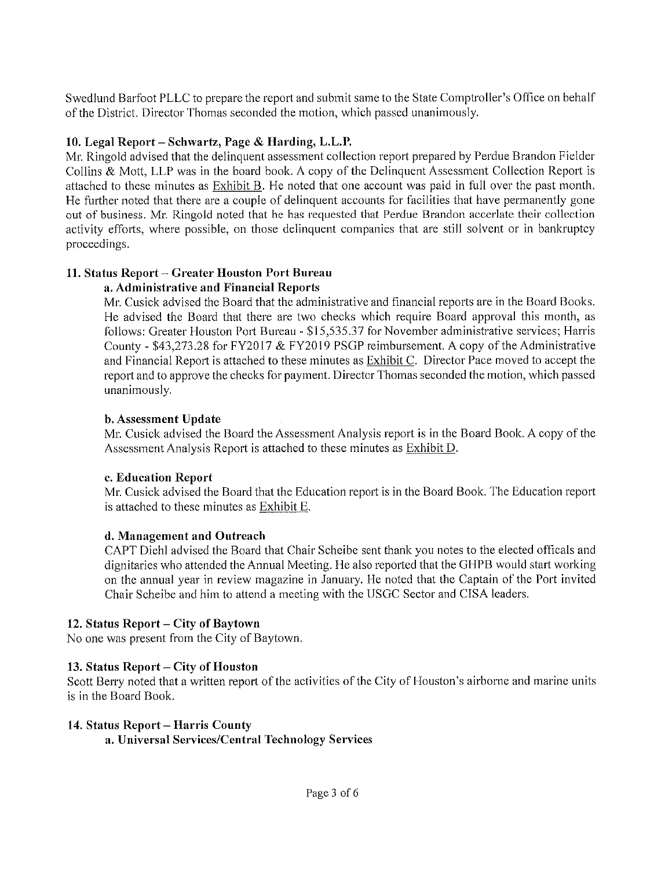Swedlund Barfoot PLLC to prepare the report and submit same to the State Comptroller's Office on behalf of the District. Director Thomas seconded the motion, which passed unanimously.

# 10. Legal Report - Schwartz, Page & Harding, L.L.P.

Mr. Ringold advised that the delinquent assessment collection report prepared by Perdue Brandon Ficlder Collins & Mott, LLP was in the board book. A copy of the Delinquent Assessment Collection Report is attached to these minutes as Exhibit B. He noted that one account was paid in full over the past month. He further noted that there are a couple of delinquent accounts for facilities that have permanently gone out of business. Mr. Ringold noted that he has requested that Perdue Brandon accerlate their collection activity efforts, where possible, on those delinquent companies that are still solvent or in bankruptcy proceedings.

# 11. Status Report – Greater Houston Port Bureau

# a. Administrative and Financial Reports

Mr. Cusick advised the Board that the administrative and financial reports are in the Board Books. He advised the Board that there are two checks which require Board approval this month, as follows: Greater Houston Port Bureau - \$15,535.37 for November administrative services; Harris County - \$43,273.28 for FY2017 & FY2019 PSGP reimbursement. A copy of the Administrative and Financial Report is attached to these minutes as Exhibit C. Director Pace moved to accept the report and to approve the checks for payment. Director Thomas seconded the motion, which passed unanimously.

# b. Assessment Update

Mr. Cusick advised the Board the Assessment Analysis report is in the Board Book. A copy of the Assessment Analysis Report is attached to these minutes as Exhibit D.

# c. Education Report

Mr. Cusick advised the Board that the Education report is in the Board Book. The Education report is attached to these minutes as Exhibit E.

# d. Management and Outreach

CAPT Diehl advised the Board that Chair Scheibe sent thank you notes to the elected officals and dignitaries who attended the Annual Meeting. He also reported that the GHPB would start working on the annual year in review magazine in January. He noted that the Captain of the Port invited Chair Scheibe and him to attend a meeting with the USGC Sector and CISA leaders.

# 12. Status Report – City of Baytown

No one was present from the City of Baytown.

# 13. Status Report – City of Houston

Scott Berry noted that a written report of the activities of the City of Houston's airborne and marine units is in the Board Book.

# 14. Status Report – Harris County

a. Universal Services/Central Technology Services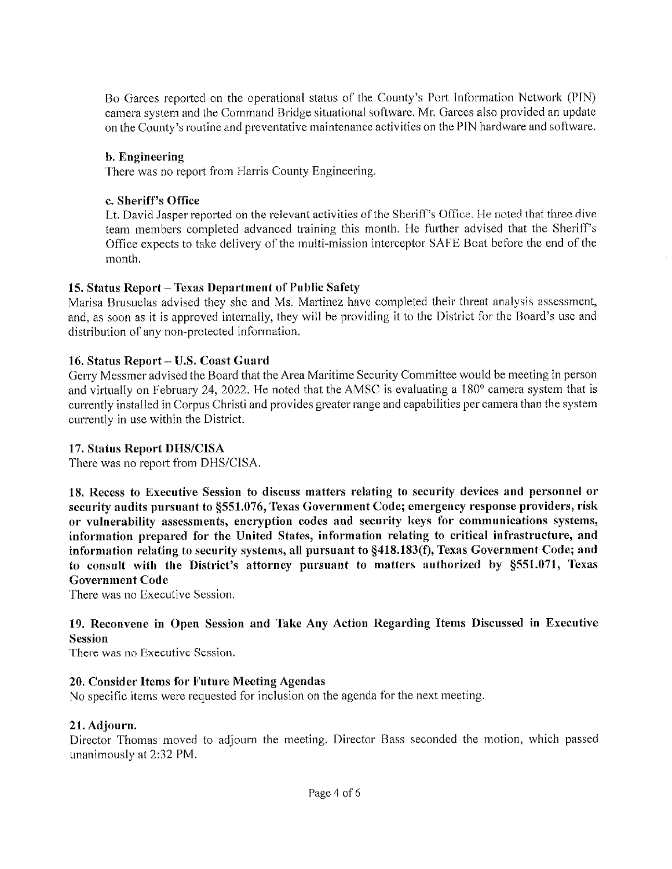Bo Garces reported on the operational status of the County's Port Information Network (PIN) camera system and the Command Bridge skuational software. Mr. Garces also provided an update on the County's routine and preventative maintenance activities on the PIN hardware and software.

#### b. Engineering

There was no report from Harris County Engineering.

#### c. Sheriff's Office

Lt. David Jasper reported on the relevant activities of the Sheriff's Office. He noted that three dive team members completed advanced training this month. He further advised that the Sheriff's Office expects to take delivery of the muiti-mission interceptor SAFE Boat before the end of the month.

#### 15. Status Report – Texas Department of Public Safety

Marisa Brusuelas advised they she and Ms. Martinez have completed their threat analysis assessment, and, as soon as it is approved internally, they will be providing it to the District for the Board's use and distribution of any non-protected information.

#### 16. Status Report - U.S. Coast Guard

Gerry Messmer advised the Board that the Area Maritime Security Committee would be meeting in person and virtually on February 24, 2022. He noted that the AMSC is evaluating a 1 80° camera system that is currently installed in Corpus Christi and provides greater range and capabilities per camera than the system currently in use within the District.

#### 17. Status Report DHS/CISA

There was no report from DHS/CISA.

18. Recess to Executive Session to discuss matters relating to security devices and personnel or security audits pursuant to §551.076, Texas Government Code; emergency response providers, risk or vulnerability assessments, encryption codes and security keys for communications systems, information prepared for the United States, information relating to critical infrastructure, and information relating to security systems, all pursuant to §418.183(f), Texas Government Code; and to consult with the District's attorney pursuant to matters authorized by §551.071, Texas Government Code

There was no Executive Session.

#### 19. Reconvene in Open Session and Take Any Action Regarding Items Discussed in Executive Session

There was no Executive Session.

#### 20. Consider Items for Future Meeting Agendas

No specific items were requested for inclusion on the agenda for the next meeting.

#### 21. Adjourn.

Director Thomas moved to adjourn the meeting. Director Bass seconded the motion, which passed unanimously at 2:32 PM.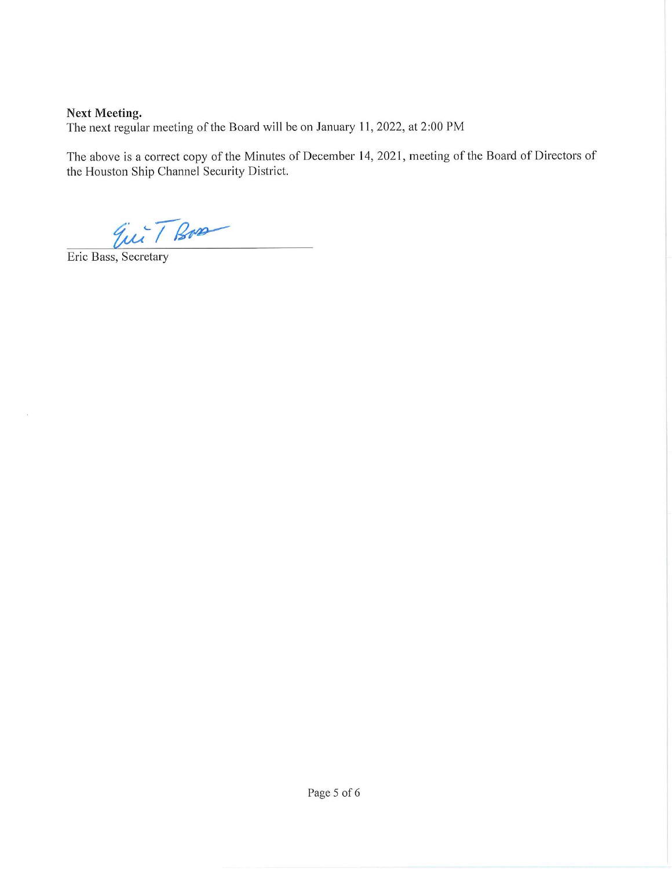# Next Meeting. The next regular meeting of the Board will be on January 11, 2022, at 2:00 PM

The above is a correct copy of the Minutes of December 14, 2021, meeting of the Board of Directors of the Houston Ship Channel Security District.

Eur T Box

Eric Bass, Secretary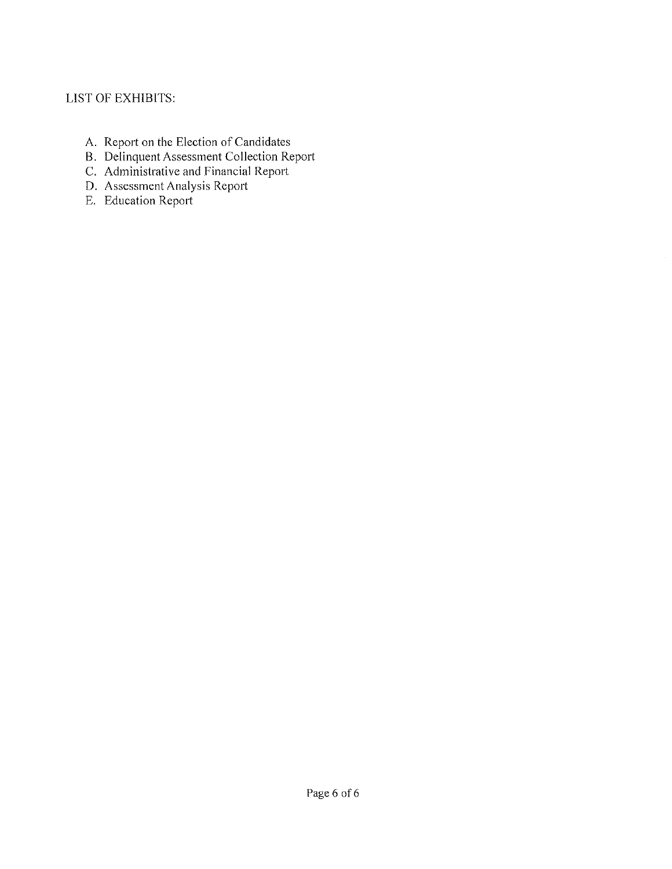# LIST OF EXHIBITS:

- A. Report on the Election of Candidates
- B. Delinquent Assessment Collection Report
- C. Administrative and Financial Report
- D. Assessment Analysis Report
- E. Education Report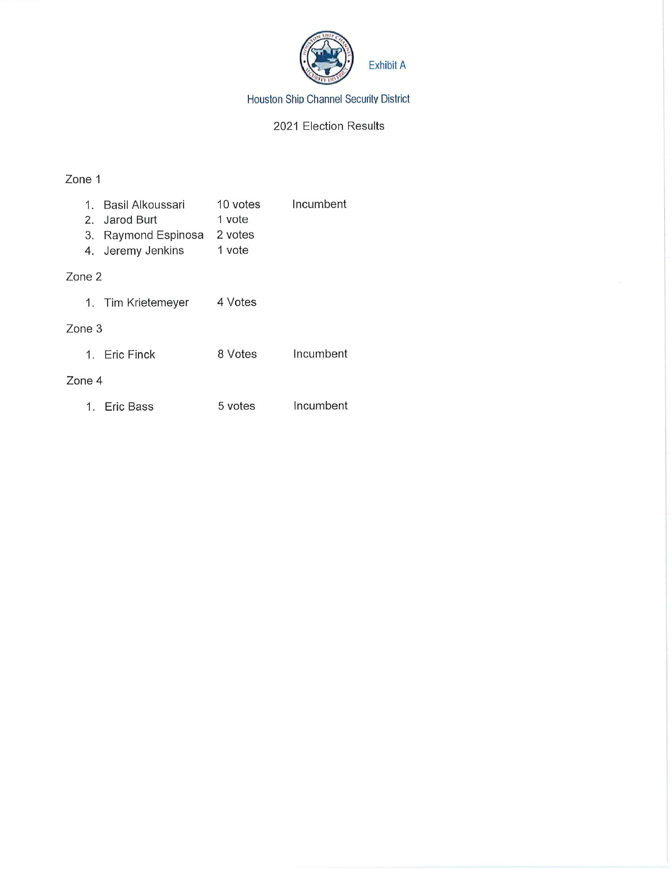

Houston Ship Channel Security District

#### 2021 Election Results

### Zone 1

| 1.     | Basil Alkoussari   | 10 votes | Incumbent |  |  |
|--------|--------------------|----------|-----------|--|--|
| 2.     | Jarod Burt         | 1 vote   |           |  |  |
| 3.     | Raymond Espinosa   | 2 votes  |           |  |  |
| 4.     | Jeremy Jenkins     | 1 vote   |           |  |  |
| Zone 2 |                    |          |           |  |  |
|        | 1. Tim Krietemeyer | 4 Votes  |           |  |  |
| Zone 3 |                    |          |           |  |  |
|        | 1. Eric Finck      | 8 Votes  | Incumbent |  |  |
| Zone 4 |                    |          |           |  |  |
|        | 1. Eric Bass       | 5 votes  | Incumbent |  |  |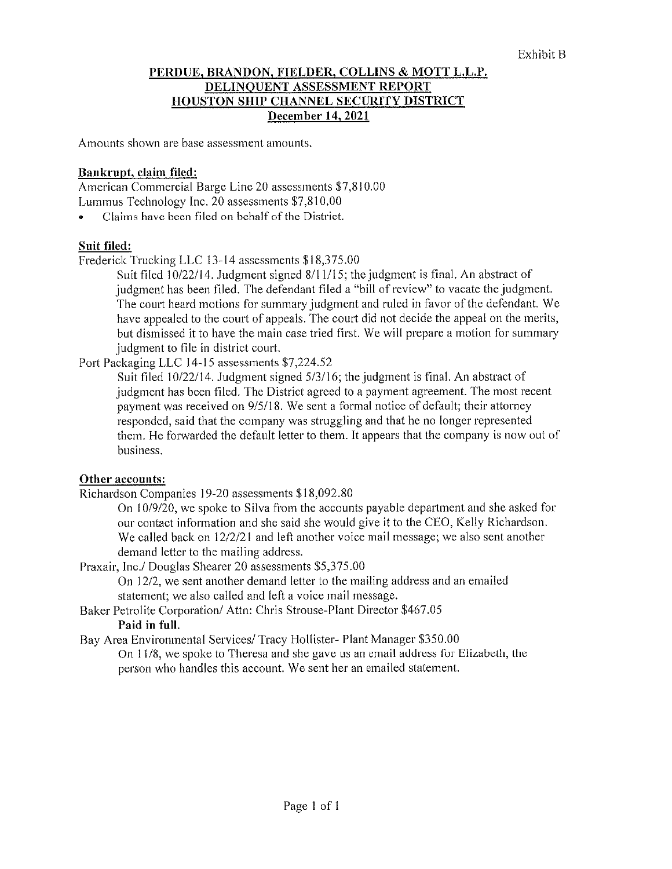### PERDUE, BRANDON, FIELDER, COLLINS & MOTT L.L.P, DELINQUENT ASSESSMENT REPORT HOUSTON SHIP CHANNEL SECURITY DISTRICT December 14,2021

Amounts shown are base assessment amounts.

#### Bankrupt, claim filed:

American Commercial Barge Line 20 assessments \$7,8! 0.00 Lummus Technology Inc. 20 assessments \$7,810.00

Claims have been filed on behalf of the District.

# Suit filed:

Frederick Trucking LLC 13-14 assessments \$i 8,375.00

Suit filed 10/22/14. Judgment signed 8/11/15; the judgment is final. An abstract of judgment has been filed. The defendant filed a "bill of review" to vacate the judgment. The court heard motions for summary judgment and ruled in favor of the defendant. We have appealed to the court of appeals. The court did not decide the appeal on the merits, but dismissed it to have the main case tried first. We will prepare a motion for summary judgment to file in district court.

Port Packaging LLC 14-15 assessments \$7,224.52

Suit filed 10/22/14. Judgment signed 5/3/16; the judgment is final. An abstract of judgment has been filed. The District agreed to a payment agreement. The most recent payment was received on 9/5/18. We sent a formal notice of default; their attorney responded, said that the company was struggling and that he no longer represented them. He forwarded the default letter to them. It appears that the company is now out of business.

#### Other accounts:

Richardson Companies 19-20 assessments \$18,092.80

On 10/9/20, we spoke to Silva from the accounts payable department and she asked for our contact information and she said she would give it to the CEO, Kelly Richardson. We called back on 12/2/21 and left another voice mail message; we also sent another demand letter to the mailing address.

Praxalr, Inc./ Douglas Shearer 20 assessments \$5,375.00

On 12/2, we sent another demand letter to the mailing address and an emailed statement; we also called and left a voice mail message.

Baker Petrolite Corporation/ Attn: Chris Strouse-Plant Director \$467.05 Paid in full.

Bay Area Environmental Services/Tracy Hollister- Plant Manager \$350.00

On 11/8, we spoke to Theresa and she gave us an email address for Elizabeth, the person who handles this account. We sent her an emailed statement.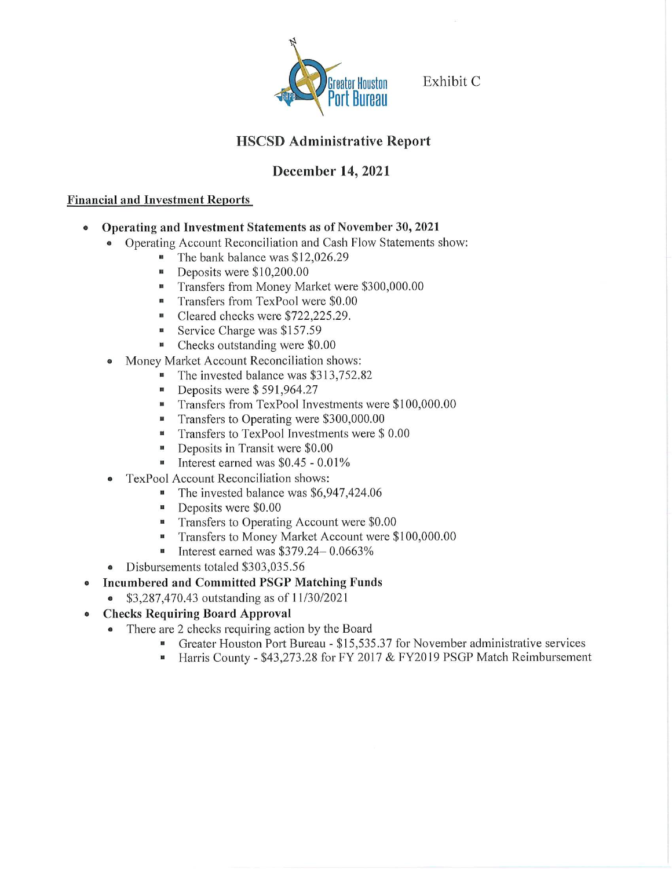

Greater Houston Exhibit C

# HSCSD Administrative Report

# December 14, 2021

### Financial and Investment Reports

- Operating and Investment Statements as of November 30, 2021
	- Operating Account Reconciliation and Cash Flow Statements show:
		- **The bank balance was \$12,026.29**
		- Deposits were \$10,200.00
		- **•** Transfers from Money Market were \$300,000.00
		- **•** Transfers from TexPool were \$0.00
		- Cleared checks were \$722,225.29.
		- Service Charge was \$157.59
		- Checks outstanding were \$0.00
		- Money Market Account Reconciliation shows:
			- The invested balance was \$313,752.82
				- Deposits were \$591,964.27
				- **Transfers from TexPool Investments were \$100,000.00**
				- Transfers to Operating were \$300,000.00
				- **•** Transfers to TexPool Investments were \$ 0.00
				- **•** Deposits in Transit were \$0.00
				- **•** Interest earned was  $$0.45 0.01\%$
	- TexPool Account Reconciliation shows:
		- The invested balance was \$6,947,424.06
		- **•** Deposits were \$0.00
		- **n** Transfers to Operating Account were \$0.00
		- Transfers to Money Market Account were \$100,000.00
		- **•** Interest earned was \$379.24 0.0663%
	- Disbursements totaled \$303,035.56
- Incumbercd and Committed PSGP Matching Funds
	- \$3,287,470.43 outstanding as of 11/30/2021
- Checks Requiring Board Approval
	- There are 2 checks requiring action by the Board
		- Greater Houston Port Bureau \$15,535.37 for November administrative services
		- Harris County \$43,273.28 for FY 2017 & FY2019 PSGP Match Reimbursement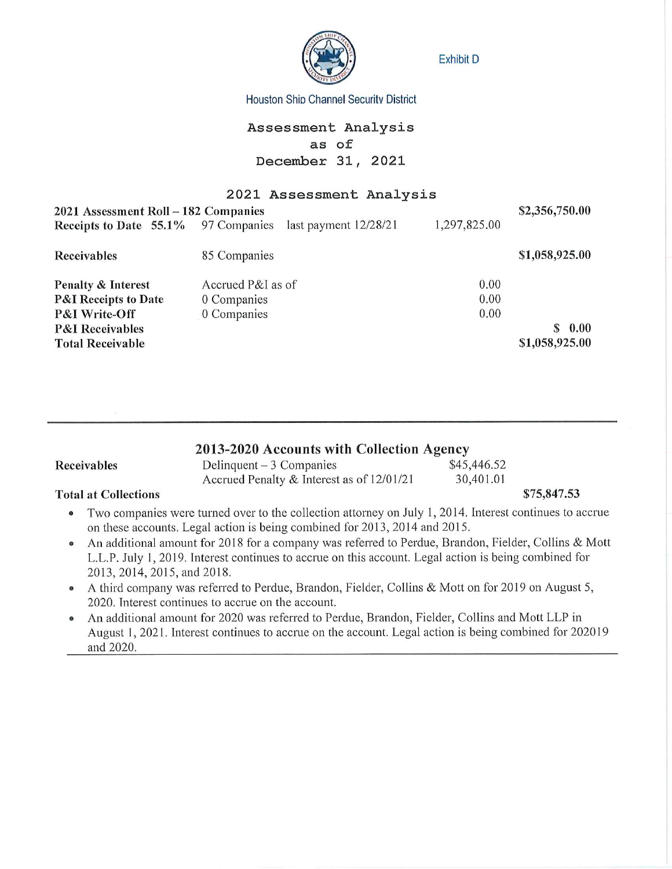

Exhibit D

#### Houston Shio Channel Security District

# Assessment Analysis as of December 31, 2021

#### 2021 Assessment Analysis

| 2021 Assessment Roll - 182 Companies | \$2,356,750.00          |              |                |
|--------------------------------------|-------------------------|--------------|----------------|
| Receipts to Date 55.1% 97 Companies  | last payment $12/28/21$ | 1,297,825.00 |                |
| <b>Receivables</b>                   | 85 Companies            |              | \$1,058,925.00 |
| <b>Penalty &amp; Interest</b>        | Accrued P&I as of       | 0.00         |                |
| <b>P&amp;I Receipts to Date</b>      | 0 Companies             | 0.00         |                |
| <b>P&amp;I Write-Off</b>             | 0 Companies             | 0.00         |                |
| <b>P&amp;I</b> Receivables           |                         |              | 0.00<br>S      |
| <b>Total Receivable</b>              |                         |              | \$1,058,925.00 |

| 2013-2020 Accounts with Collection Agency |                                           |             |             |  |
|-------------------------------------------|-------------------------------------------|-------------|-------------|--|
| Receivables                               | Delinquent $-3$ Companies                 | \$45,446.52 |             |  |
|                                           | Accrued Penalty & Interest as of 12/01/21 | 30,401.01   |             |  |
| <b>Total at Collections</b>               |                                           |             | \$75,847.53 |  |

- Two companies were turned over to the collection attorney on July 1, 2014. Interest continues to accrue on these accounts. Legal action is being combined for 2013, 2014 and 2015.
- An additional amount for 2018 for a company was referred to Perdue, Brandon, Fielder, Collins & Mott L.L.P, July 1, 2019. Interest continues to accrue on this account. Legal action is being combined for 2013,2014,2015,and 2018.
- A third company was referred to Perdue, Brandon, Fielder, Collins & Mott on for 2019 on August 5, 2020. Interest continues to accrue on the account.
- An additional amount for 2020 was referred to Perdue, Brandon, Fielder, Collins and Mott LLP in August 1, 2021. Interest continues to accrue on the account. Legal action is being combined for 202019 and 2020.